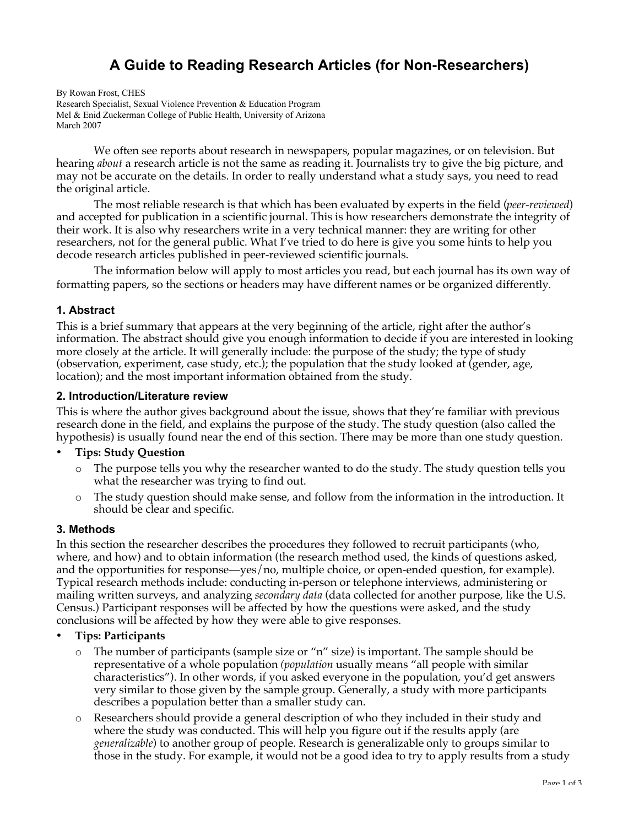# **A Guide to Reading Research Articles (for Non-Researchers)**

By Rowan Frost, CHES Research Specialist, Sexual Violence Prevention & Education Program Mel & Enid Zuckerman College of Public Health, University of Arizona March 2007

We often see reports about research in newspapers, popular magazines, or on television. But hearing *about* a research article is not the same as reading it. Journalists try to give the big picture, and may not be accurate on the details. In order to really understand what a study says, you need to read the original article.

The most reliable research is that which has been evaluated by experts in the field (*peer-reviewed*) and accepted for publication in a scientific journal. This is how researchers demonstrate the integrity of their work. It is also why researchers write in a very technical manner: they are writing for other researchers, not for the general public. What I've tried to do here is give you some hints to help you decode research articles published in peer-reviewed scientific journals.

The information below will apply to most articles you read, but each journal has its own way of formatting papers, so the sections or headers may have different names or be organized differently.

## **1. Abstract**

This is a brief summary that appears at the very beginning of the article, right after the author's information. The abstract should give you enough information to decide if you are interested in looking more closely at the article. It will generally include: the purpose of the study; the type of study (observation, experiment, case study, etc.); the population that the study looked at (gender, age, location); and the most important information obtained from the study.

#### **2. Introduction/Literature review**

This is where the author gives background about the issue, shows that they're familiar with previous research done in the field, and explains the purpose of the study. The study question (also called the hypothesis) is usually found near the end of this section. There may be more than one study question.

#### **Tips: Study Question**

- o The purpose tells you why the researcher wanted to do the study. The study question tells you what the researcher was trying to find out.
- o The study question should make sense, and follow from the information in the introduction. It should be clear and specific.

#### **3. Methods**

In this section the researcher describes the procedures they followed to recruit participants (who, where, and how) and to obtain information (the research method used, the kinds of questions asked, and the opportunities for response—yes/no, multiple choice, or open-ended question, for example). Typical research methods include: conducting in-person or telephone interviews, administering or mailing written surveys, and analyzing *secondary data* (data collected for another purpose, like the U.S. Census.) Participant responses will be affected by how the questions were asked, and the study conclusions will be affected by how they were able to give responses.

#### **Tips: Participants**

- The number of participants (sample size or " $n$ " size) is important. The sample should be representative of a whole population *(population* usually means "all people with similar characteristics"). In other words, if you asked everyone in the population, you'd get answers very similar to those given by the sample group. Generally, a study with more participants describes a population better than a smaller study can.
- o Researchers should provide a general description of who they included in their study and where the study was conducted. This will help you figure out if the results apply (are *generalizable*) to another group of people. Research is generalizable only to groups similar to those in the study. For example, it would not be a good idea to try to apply results from a study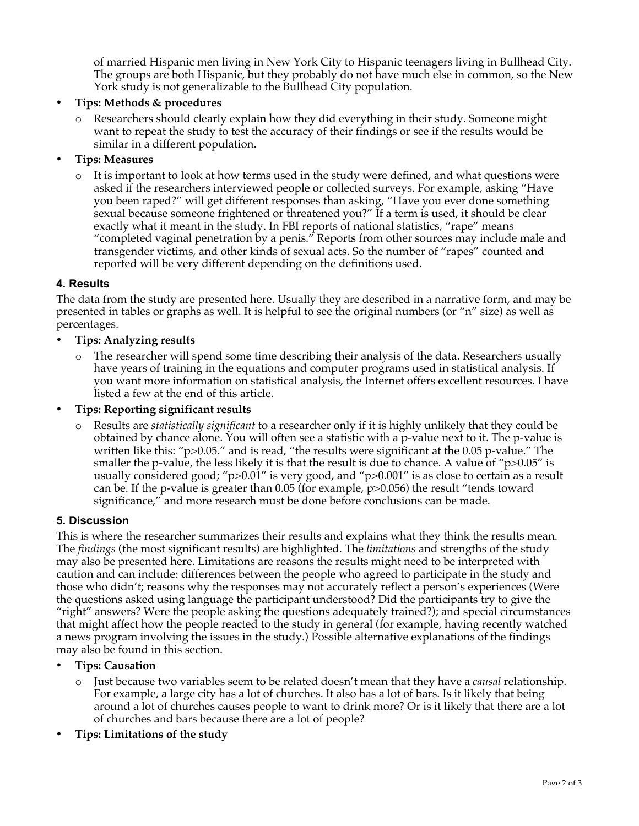of married Hispanic men living in New York City to Hispanic teenagers living in Bullhead City. The groups are both Hispanic, but they probably do not have much else in common, so the New York study is not generalizable to the Bullhead City population.

## **Tips: Methods & procedures**

Researchers should clearly explain how they did everything in their study. Someone might want to repeat the study to test the accuracy of their findings or see if the results would be similar in a different population.

## **Tips: Measures**

It is important to look at how terms used in the study were defined, and what questions were asked if the researchers interviewed people or collected surveys. For example, asking "Have you been raped?" will get different responses than asking, "Have you ever done something sexual because someone frightened or threatened you?" If a term is used, it should be clear exactly what it meant in the study. In FBI reports of national statistics, "rape" means "completed vaginal penetration by a penis." Reports from other sources may include male and transgender victims, and other kinds of sexual acts. So the number of "rapes" counted and reported will be very different depending on the definitions used.

## **4. Results**

The data from the study are presented here. Usually they are described in a narrative form, and may be presented in tables or graphs as well. It is helpful to see the original numbers (or "n" size) as well as percentages.

#### **Tips: Analyzing results**

The researcher will spend some time describing their analysis of the data. Researchers usually have years of training in the equations and computer programs used in statistical analysis. If you want more information on statistical analysis, the Internet offers excellent resources. I have listed a few at the end of this article.

#### **Tips: Reporting significant results**

o Results are *statistically significant* to a researcher only if it is highly unlikely that they could be obtained by chance alone. You will often see a statistic with a p-value next to it. The p-value is written like this: "p>0.05." and is read, "the results were significant at the 0.05 p-value." The smaller the p-value, the less likely it is that the result is due to chance. A value of " $p>0.05$ " is usually considered good; " $p > 0.01$ " is very good, and " $p > 0.001$ " is as close to certain as a result can be. If the p-value is greater than 0.05 (for example, p>0.056) the result "tends toward significance," and more research must be done before conclusions can be made.

#### **5. Discussion**

This is where the researcher summarizes their results and explains what they think the results mean. The *findings* (the most significant results) are highlighted. The *limitations* and strengths of the study may also be presented here. Limitations are reasons the results might need to be interpreted with caution and can include: differences between the people who agreed to participate in the study and those who didn't; reasons why the responses may not accurately reflect a person's experiences (Were the questions asked using language the participant understood? Did the participants try to give the "right" answers? Were the people asking the questions adequately trained?); and special circumstances that might affect how the people reacted to the study in general (for example, having recently watched a news program involving the issues in the study.) Possible alternative explanations of the findings may also be found in this section.

#### **Tips: Causation**

Just because two variables seem to be related doesn't mean that they have a *causal* relationship. For example, a large city has a lot of churches. It also has a lot of bars. Is it likely that being around a lot of churches causes people to want to drink more? Or is it likely that there are a lot of churches and bars because there are a lot of people?

# **Tips: Limitations of the study**